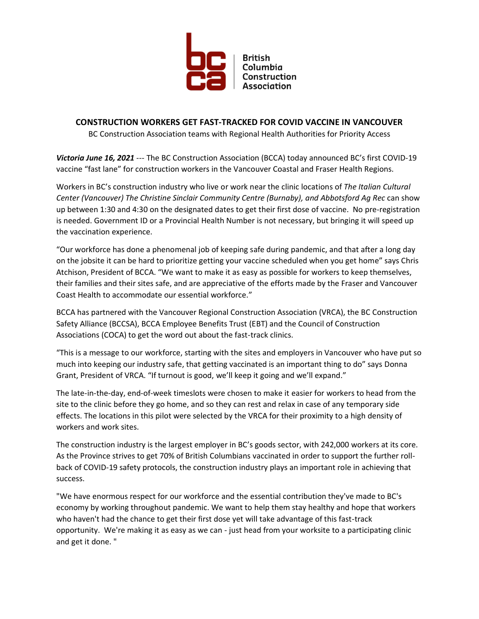

## **CONSTRUCTION WORKERS GET FAST-TRACKED FOR COVID VACCINE IN VANCOUVER**

BC Construction Association teams with Regional Health Authorities for Priority Access

*Victoria June 16, 2021* --- The BC Construction Association (BCCA) today announced BC's first COVID-19 vaccine "fast lane" for construction workers in the Vancouver Coastal and Fraser Health Regions.

Workers in BC's construction industry who live or work near the clinic locations of *The Italian Cultural Center (Vancouver) The Christine Sinclair Community Centre (Burnaby), and Abbotsford Ag Rec* can show up between 1:30 and 4:30 on the designated dates to get their first dose of vaccine. No pre-registration is needed. Government ID or a Provincial Health Number is not necessary, but bringing it will speed up the vaccination experience.

"Our workforce has done a phenomenal job of keeping safe during pandemic, and that after a long day on the jobsite it can be hard to prioritize getting your vaccine scheduled when you get home" says Chris Atchison, President of BCCA. "We want to make it as easy as possible for workers to keep themselves, their families and their sites safe, and are appreciative of the efforts made by the Fraser and Vancouver Coast Health to accommodate our essential workforce."

BCCA has partnered with the Vancouver Regional Construction Association (VRCA), the BC Construction Safety Alliance (BCCSA), BCCA Employee Benefits Trust (EBT) and the Council of Construction Associations (COCA) to get the word out about the fast-track clinics.

"This is a message to our workforce, starting with the sites and employers in Vancouver who have put so much into keeping our industry safe, that getting vaccinated is an important thing to do" says Donna Grant, President of VRCA. "If turnout is good, we'll keep it going and we'll expand."

The late-in-the-day, end-of-week timeslots were chosen to make it easier for workers to head from the site to the clinic before they go home, and so they can rest and relax in case of any temporary side effects. The locations in this pilot were selected by the VRCA for their proximity to a high density of workers and work sites.

The construction industry is the largest employer in BC's goods sector, with 242,000 workers at its core. As the Province strives to get 70% of British Columbians vaccinated in order to support the further rollback of COVID-19 safety protocols, the construction industry plays an important role in achieving that success.

"We have enormous respect for our workforce and the essential contribution they've made to BC's economy by working throughout pandemic. We want to help them stay healthy and hope that workers who haven't had the chance to get their first dose yet will take advantage of this fast-track opportunity. We're making it as easy as we can - just head from your worksite to a participating clinic and get it done. "